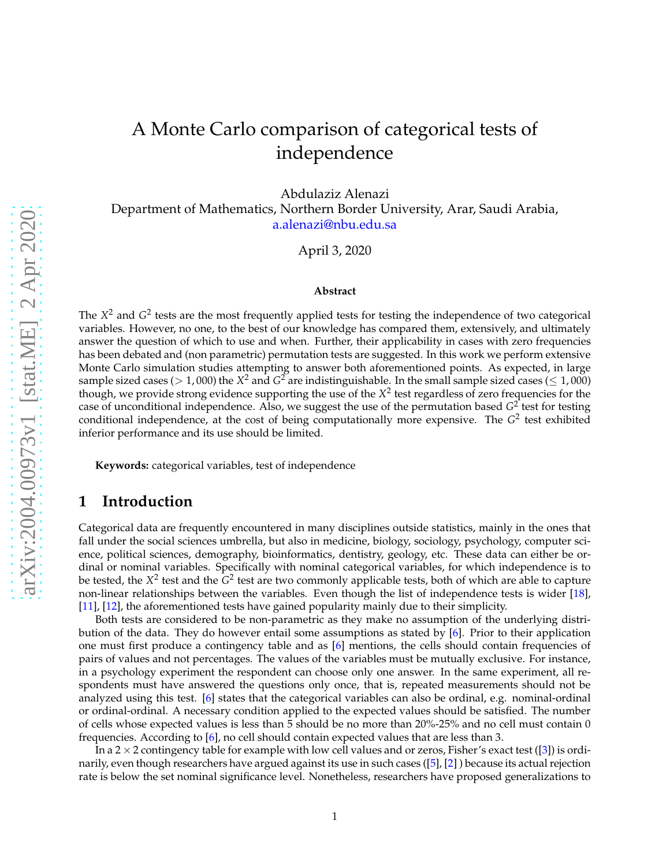# A Monte Carlo comparison of categorical tests of independence

Abdulaziz Alenazi

Department of Mathematics, Northern Border University, Arar, Saudi Arabia, [a.alenazi@nbu.edu.sa](mailto:a.alenazi@nbu.edu.sa)

April 3, 2020

#### **Abstract**

The  $X^2$  and  $G^2$  tests are the most frequently applied tests for testing the independence of two categorical variables. However, no one, to the best of our knowledge has compared them, extensively, and ultimately answer the question of which to use and when. Further, their applicability in cases with zero frequencies has been debated and (non parametric) permutation tests are suggested. In this work we perform extensive Monte Carlo simulation studies attempting to answer both aforementioned points. As expected, in large sample sized cases ( $>$  1, 000) the  $X^2$  and  $G^2$  are indistinguishable. In the small sample sized cases ( $\leq$  1, 000) though, we provide strong evidence supporting the use of the *X* 2 test regardless of zero frequencies for the case of unconditional independence. Also, we suggest the use of the permutation based *G*<sup>2</sup> test for testing conditional independence, at the cost of being computationally more expensive. The G<sup>2</sup> test exhibited inferior performance and its use should be limited.

**Keywords:** categorical variables, test of independence

## **1 Introduction**

Categorical data are frequently encountered in many disciplines outside statistics, mainly in the ones that fall under the social sciences umbrella, but also in medicine, biology, sociology, psychology, computer science, political sciences, demography, bioinformatics, dentistry, geology, etc. These data can either be ordinal or nominal variables. Specifically with nominal categorical variables, for which independence is to be tested, the  $X^2$  test and the  $G^2$  test are two commonly applicable tests, both of which are able to capture non-linear relationships between the variables. Even though the list of independence tests is wider [\[18\]](#page-14-0), [\[11\]](#page-14-1), [\[12\]](#page-14-2), the aforementioned tests have gained popularity mainly due to their simplicity.

Both tests are considered to be non-parametric as they make no assumption of the underlying distribution of the data. They do however entail some assumptions as stated by [\[6\]](#page-14-3). Prior to their application one must first produce a contingency table and as [\[6\]](#page-14-3) mentions, the cells should contain frequencies of pairs of values and not percentages. The values of the variables must be mutually exclusive. For instance, in a psychology experiment the respondent can choose only one answer. In the same experiment, all respondents must have answered the questions only once, that is, repeated measurements should not be analyzed using this test. [\[6\]](#page-14-3) states that the categorical variables can also be ordinal, e.g. nominal-ordinal or ordinal-ordinal. A necessary condition applied to the expected values should be satisfied. The number of cells whose expected values is less than 5 should be no more than 20%-25% and no cell must contain 0 frequencies. According to [\[6\]](#page-14-3), no cell should contain expected values that are less than 3.

In a  $2 \times 2$  contingency table for example with low cell values and or zeros, Fisher's exact test ([\[3\]](#page-14-4)) is ordinarily, even though researchers have argued against its use in such cases ([\[5\]](#page-14-5), [\[2\]](#page-14-6) ) because its actual rejection rate is below the set nominal significance level. Nonetheless, researchers have proposed generalizations to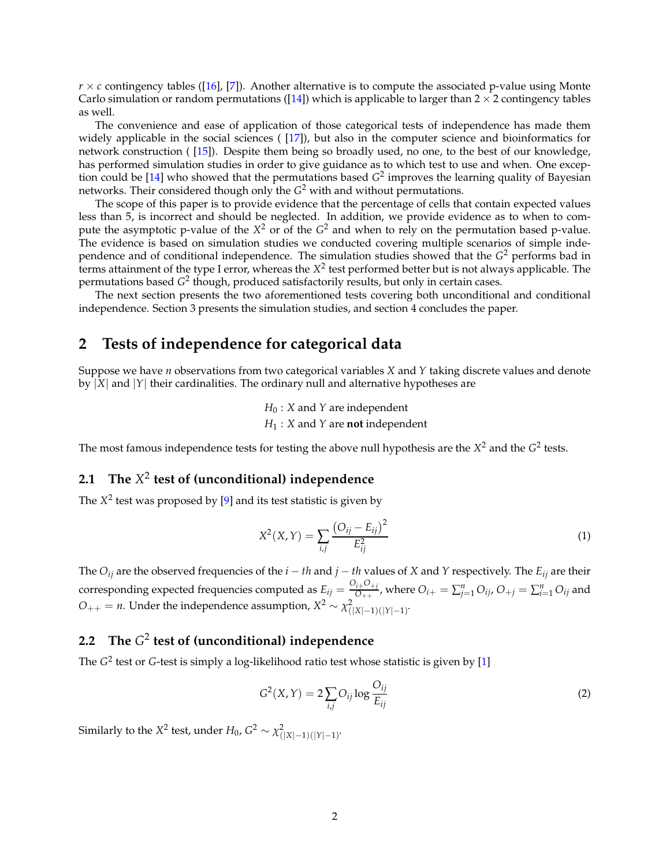$r \times c$  contingency tables ([\[16\]](#page-14-7), [\[7\]](#page-14-8)). Another alternative is to compute the associated p-value using Monte Carlo simulation or random permutations ([\[14\]](#page-14-9)) which is applicable to larger than  $2 \times 2$  contingency tables as well.

The convenience and ease of application of those categorical tests of independence has made them widely applicable in the social sciences ( [\[17\]](#page-14-10)), but also in the computer science and bioinformatics for network construction ( [\[15\]](#page-14-11)). Despite them being so broadly used, no one, to the best of our knowledge, has performed simulation studies in order to give guidance as to which test to use and when. One exception could be [\[14\]](#page-14-9) who showed that the permutations based *G* 2 improves the learning quality of Bayesian networks. Their considered though only the *G* <sup>2</sup> with and without permutations.

The scope of this paper is to provide evidence that the percentage of cells that contain expected values less than 5, is incorrect and should be neglected. In addition, we provide evidence as to when to compute the asymptotic p-value of the *X* <sup>2</sup> or of the *G* <sup>2</sup> and when to rely on the permutation based p-value. The evidence is based on simulation studies we conducted covering multiple scenarios of simple independence and of conditional independence. The simulation studies showed that the *G* <sup>2</sup> performs bad in terms attainment of the type I error, whereas the  $X^2$  test performed better but is not always applicable. The permutations based *G* 2 though, produced satisfactorily results, but only in certain cases.

The next section presents the two aforementioned tests covering both unconditional and conditional independence. Section 3 presents the simulation studies, and section 4 concludes the paper.

# **2 Tests of independence for categorical data**

Suppose we have *n* observations from two categorical variables *X* and *Y* taking discrete values and denote by |*X*| and |*Y*| their cardinalities. The ordinary null and alternative hypotheses are

> $H_0$ : *X* and *Y* are independent *H*<sup>1</sup> : *X* and *Y* are **not** independent

The most famous independence tests for testing the above null hypothesis are the  $X^2$  and the  $G^2$  tests.

## **2.1 The** *X* 2 **test of (unconditional) independence**

The  $X^2$  test was proposed by  $[9]$  and its test statistic is given by

<span id="page-1-0"></span>
$$
X^{2}(X,Y) = \sum_{i,j} \frac{(O_{ij} - E_{ij})^{2}}{E_{ij}^{2}}
$$
 (1)

The *Oij* are the observed frequencies of the *i* − *th* and *j* − *th* values of *X* and *Y* respectively. The *Eij* are their corresponding expected frequencies computed as  $E_{ij} = \frac{O_{i+} O_{+j}}{O_{++}}$  $\frac{D_{i+} - D_{+j}}{D_{i+1}}$ , where  $O_{i+} = \sum_{j=1}^{n} O_{ij}$ ,  $O_{+j} = \sum_{i=1}^{n} O_{ij}$  and  $O_{++} = n$ . Under the independence assumption,  $X^2 \sim \chi^2_{\left(\vert X \vert - 1\right)\left(\vert Y \vert - 1\right)}$ .

## **2.2 The** *G* 2 **test of (unconditional) independence**

The *G*<sup>2</sup> test or *G*-test is simply a log-likelihood ratio test whose statistic is given by [\[1\]](#page-14-13)

<span id="page-1-1"></span>
$$
G^{2}(X,Y) = 2\sum_{i,j} O_{ij} \log \frac{O_{ij}}{E_{ij}}
$$
 (2)

Similarly to the *X*<sup>2</sup> test, under *H*<sub>0</sub>,  $G^2 \sim \chi^2_{\left(\vert X \vert -1 \right) \left( \vert Y \vert -1 \right)}$ .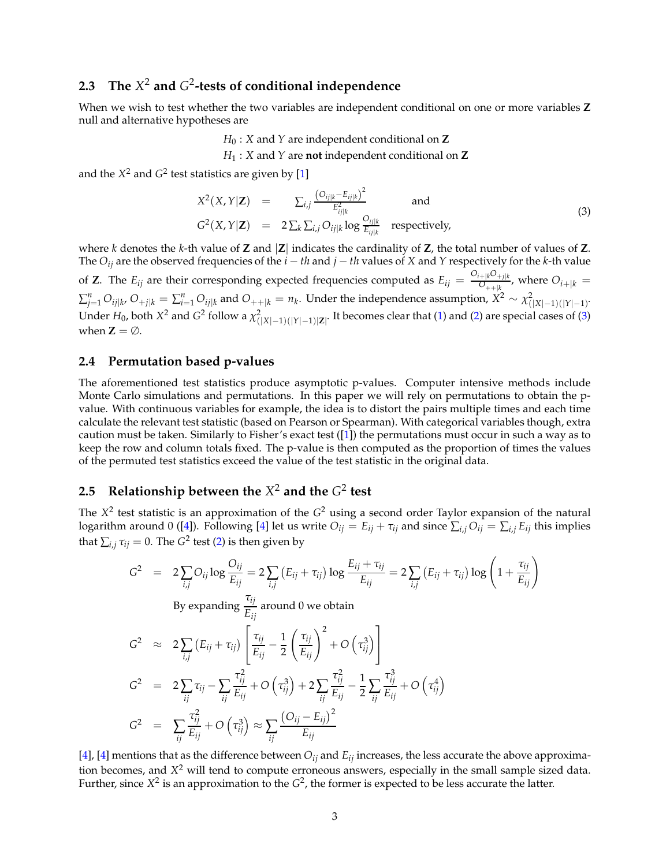## **2.3 The** *X* <sup>2</sup> **and** *G* 2 **-tests of conditional independence**

When we wish to test whether the two variables are independent conditional on one or more variables **Z** null and alternative hypotheses are

*H*<sub>0</sub> : *X* and *Y* are independent conditional on **Z** 
$$
H_1
$$
 : *X* and *Y* are **not** independent conditional on **Z**

and the  $X^2$  and  $G^2$  test statistics are given by [\[1\]](#page-14-13)

<span id="page-2-0"></span>
$$
X^{2}(X, Y|Z) = \sum_{i,j} \frac{(O_{ij|k} - E_{ij|k})^{2}}{E_{ij|k}^{2}}
$$
 and  
\n
$$
G^{2}(X, Y|Z) = 2\sum_{k} \sum_{i,j} O_{ij|k} \log \frac{O_{ij|k}}{E_{ij|k}}
$$
 respectively, (3)

where *k* denotes the *k*-th value of **Z** and |**Z**| indicates the cardinality of **Z**, the total number of values of **Z**. The *Oij* are the observed frequencies of the *i* − *th* and *j* − *th* values of *X* and *Y* respectively for the *k*-th value of **Z**. The  $E_{ij}$  are their corresponding expected frequencies computed as  $E_{ij} = \frac{O_{i+|k}O_{+j|k}}{O_{i+|k}P_{i}|}$  $\frac{O_{i+|k|}}{O_{i+|k|}}$ , where  $O_{i+|k|} =$  $\sum_{j=1}^n O_{ij|k}$ ,  $O_{+j|k} = \sum_{i=1}^n O_{ij|k}$  and  $O_{++|k} = n_k$ . Under the independence assumption,  $X^2 \sim \chi^2_{(|X|-1)(|Y|-1)}$ . Under  $H_0$ , both  $X^2$  and  $G^2$  follow a  $\chi^2_{(|X|-1)(|Y|-1)|\mathbf{Z}|}$ . It becomes clear that [\(1\)](#page-1-0) and [\(2\)](#page-1-1) are special cases of [\(3\)](#page-2-0) when  $\mathbf{Z} = \emptyset$ .

#### **2.4 Permutation based p-values**

The aforementioned test statistics produce asymptotic p-values. Computer intensive methods include Monte Carlo simulations and permutations. In this paper we will rely on permutations to obtain the pvalue. With continuous variables for example, the idea is to distort the pairs multiple times and each time calculate the relevant test statistic (based on Pearson or Spearman). With categorical variables though, extra caution must be taken. Similarly to Fisher's exact test ([\[1\]](#page-14-13)) the permutations must occur in such a way as to keep the row and column totals fixed. The p-value is then computed as the proportion of times the values of the permuted test statistics exceed the value of the test statistic in the original data.

## **2.5** Relationship between the  $X^2$  and the  $G^2$  test

The  $X^2$  test statistic is an approximation of the  $G^2$  using a second order Taylor expansion of the natural logarithm around 0 ([\[4\]](#page-14-14)). Following [\[4\]](#page-14-14) let us write  $O_{ij} = E_{ij} + \tau_{ij}$  and since  $\sum_{i,j} O_{ij} = \sum_{i,j} E_{ij}$  this implies that  $\sum_{i,j}\tau_{ij}=0.$  The  $G^2$  test [\(2\)](#page-1-1) is then given by

$$
G^{2} = 2\sum_{i,j} O_{ij} \log \frac{O_{ij}}{E_{ij}} = 2\sum_{i,j} (E_{ij} + \tau_{ij}) \log \frac{E_{ij} + \tau_{ij}}{E_{ij}} = 2\sum_{i,j} (E_{ij} + \tau_{ij}) \log \left(1 + \frac{\tau_{ij}}{E_{ij}}\right)
$$
  
By expanding  $\frac{\tau_{ij}}{E_{ij}}$  around 0 we obtain  

$$
G^{2} \approx 2\sum_{i,j} (E_{ij} + \tau_{ij}) \left[\frac{\tau_{ij}}{E_{ij}} - \frac{1}{2} \left(\frac{\tau_{ij}}{E_{ij}}\right)^{2} + O\left(\tau_{ij}^{3}\right)\right]
$$

$$
G^{2} = 2\sum_{ij} \tau_{ij} - \sum_{ij} \frac{\tau_{ij}^{2}}{E_{ij}} + O\left(\tau_{ij}^{3}\right) + 2\sum_{ij} \frac{\tau_{ij}^{2}}{E_{ij}} - \frac{1}{2} \sum_{ij} \frac{\tau_{ij}^{3}}{E_{ij}} + O\left(\tau_{ij}^{4}\right)
$$

$$
G^{2} = \sum_{ij} \frac{\tau_{ij}^{2}}{E_{ij}} + O\left(\tau_{ij}^{3}\right) \approx \sum_{ij} \frac{\left(O_{ij} - E_{ij}\right)^{2}}{E_{ij}}
$$

[\[4\]](#page-14-14), [4] mentions that as the difference between  $O_{ij}$  and  $E_{ij}$  increases, the less accurate the above approximation becomes, and *X* <sup>2</sup> will tend to compute erroneous answers, especially in the small sample sized data. Further, since  $X^2$  is an approximation to the  $G^2$ , the former is expected to be less accurate the latter.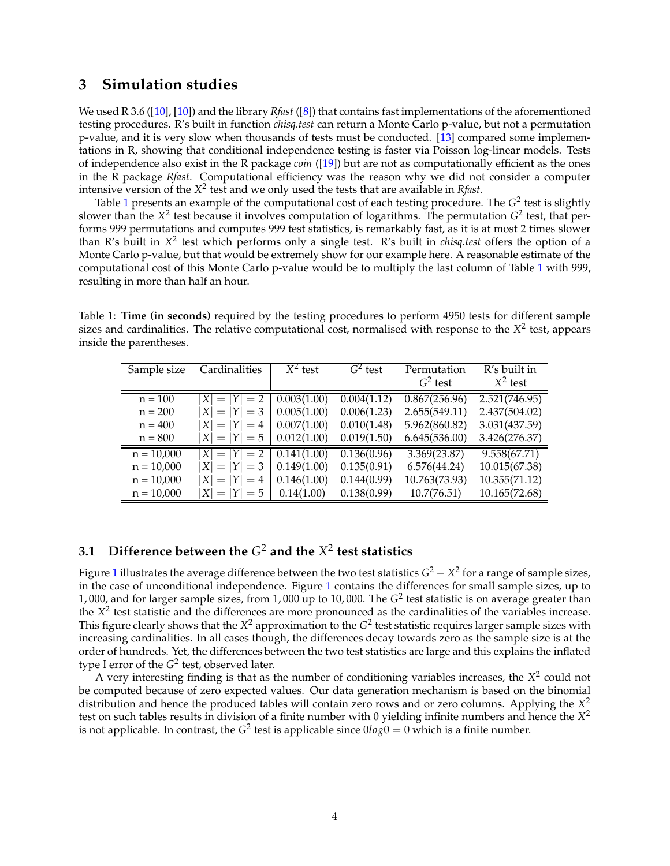#### **3 Simulation studies**

We used R 3.6 ([\[10\]](#page-14-15), [\[10\]](#page-14-15)) and the library *Rfast* ([\[8\]](#page-14-16)) that contains fast implementations of the aforementioned testing procedures. R's built in function *chisq.test* can return a Monte Carlo p-value, but not a permutation p-value, and it is very slow when thousands of tests must be conducted. [\[13\]](#page-14-17) compared some implementations in R, showing that conditional independence testing is faster via Poisson log-linear models. Tests of independence also exist in the R package *coin* ([\[19\]](#page-14-18)) but are not as computationally efficient as the ones in the R package *Rfast*. Computational efficiency was the reason why we did not consider a computer intensive version of the  $X^2$  test and we only used the tests that are available in *Rfast*.

Table [1](#page-3-0) presents an example of the computational cost of each testing procedure. The *G*<sup>2</sup> test is slightly slower than the  $X^2$  test because it involves computation of logarithms. The permutation  $G^2$  test, that performs 999 permutations and computes 999 test statistics, is remarkably fast, as it is at most 2 times slower than R's built in X<sup>2</sup> test which performs only a single test. R's built in *chisq.test* offers the option of a Monte Carlo p-value, but that would be extremely show for our example here. A reasonable estimate of the computational cost of this Monte Carlo p-value would be to multiply the last column of Table [1](#page-3-0) with 999, resulting in more than half an hour.

Table 1: **Time (in seconds)** required by the testing procedures to perform 4950 tests for different sample sizes and cardinalities. The relative computational cost, normalised with response to the  $X^2$  test, appears inside the parentheses.

<span id="page-3-0"></span>

| Sample size  | Cardinalities                      | $\overline{X^2}$ test | $\overline{G^2}$ test | Permutation   | R's built in  |
|--------------|------------------------------------|-----------------------|-----------------------|---------------|---------------|
|              |                                    |                       |                       | $G^2$ test    | $X^2$ test    |
| $n = 100$    | X<br>$=  Y $<br>$=2$               | 0.003(1.00)           | 0.004(1.12)           | 0.867(256.96) | 2.521(746.95) |
| $n = 200$    | $=  Y  = 3$<br>X                   | 0.005(1.00)           | 0.006(1.23)           | 2.655(549.11) | 2.437(504.02) |
| $n = 400$    | X <sub>l</sub><br>$=4$<br>$=  Y $  | 0.007(1.00)           | 0.010(1.48)           | 5.962(860.82) | 3.031(437.59) |
| $n = 800$    | XI<br>$=  Y  = 5$                  | 0.012(1.00)           | 0.019(1.50)           | 6.645(536.00) | 3.426(276.37) |
| $n = 10,000$ | XI<br>$=  Y  = 2$                  | 0.141(1.00)           | 0.136(0.96)           | 3.369(23.87)  | 9.558(67.71)  |
| $n = 10,000$ | $=$ 3<br>X <sub>l</sub><br>$=  Y $ | 0.149(1.00)           | 0.135(0.91)           | 6.576(44.24)  | 10.015(67.38) |
| $n = 10,000$ | X<br>$=4$<br>$=  Y $               | 0.146(1.00)           | 0.144(0.99)           | 10.763(73.93) | 10.355(71.12) |
| $n = 10,000$ | X<br>$=5$<br>$=  Y $               | 0.14(1.00)            | 0.138(0.99)           | 10.7(76.51)   | 10.165(72.68) |

## **3.1** Difference between the  $G^2$  and the  $X^2$  test statistics

Figure [1](#page-7-0) illustrates the average difference between the two test statistics *G* <sup>2</sup> − *X* 2 for a range of sample sizes, in the case of unconditional independence. Figure [1](#page-7-0) contains the differences for small sample sizes, up to 1, 000, and for larger sample sizes, from 1, 000 up to 10, 000. The *G* 2 test statistic is on average greater than the  $X^2$  test statistic and the differences are more pronounced as the cardinalities of the variables increase. This figure clearly shows that the  $X^2$  approximation to the  $G^2$  test statistic requires larger sample sizes with increasing cardinalities. In all cases though, the differences decay towards zero as the sample size is at the order of hundreds. Yet, the differences between the two test statistics are large and this explains the inflated type I error of the *G*<sup>2</sup> test, observed later.

A very interesting finding is that as the number of conditioning variables increases, the *X* 2 could not be computed because of zero expected values. Our data generation mechanism is based on the binomial distribution and hence the produced tables will contain zero rows and or zero columns. Applying the *X* 2 test on such tables results in division of a finite number with 0 yielding infinite numbers and hence the *X* 2 is not applicable. In contrast, the  $G^2$  test is applicable since  $0log0 = 0$  which is a finite number.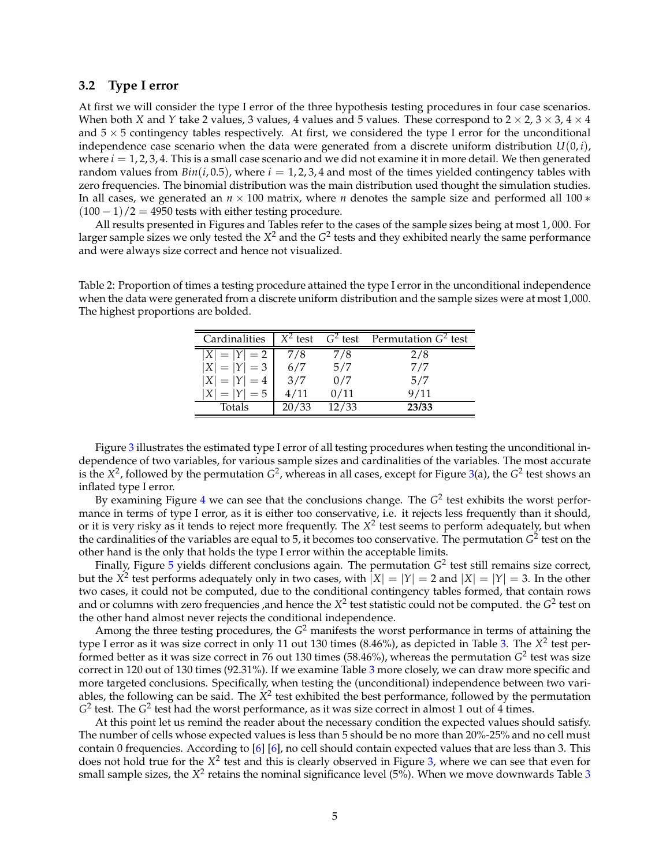#### **3.2 Type I error**

At first we will consider the type I error of the three hypothesis testing procedures in four case scenarios. When both *X* and *Y* take 2 values, 3 values, 4 values and 5 values. These correspond to  $2 \times 2$ ,  $3 \times 3$ ,  $4 \times 4$ and  $5 \times 5$  contingency tables respectively. At first, we considered the type I error for the unconditional independence case scenario when the data were generated from a discrete uniform distribution  $U(0, i)$ , where  $i = 1, 2, 3, 4$ . This is a small case scenario and we did not examine it in more detail. We then generated random values from  $Bin(i, 0.5)$ , where  $i = 1, 2, 3, 4$  and most of the times yielded contingency tables with zero frequencies. The binomial distribution was the main distribution used thought the simulation studies. In all cases, we generated an *n* × 100 matrix, where *n* denotes the sample size and performed all 100 ∗  $(100 - 1)/2 = 4950$  tests with either testing procedure.

All results presented in Figures and Tables refer to the cases of the sample sizes being at most 1, 000. For larger sample sizes we only tested the  $X^2$  and the  $G^2$  tests and they exhibited nearly the same performance and were always size correct and hence not visualized.

Table 2: Proportion of times a testing procedure attained the type I error in the unconditional independence when the data were generated from a discrete uniform distribution and the sample sizes were at most 1,000. The highest proportions are bolded.

| Cardinalities   | $X^2$ test |       | $G2$ test Permutation $G2$ test |
|-----------------|------------|-------|---------------------------------|
| $ X  =  Y  = 2$ | 7/8        | 7/8   | 2/8                             |
| $ X  =  Y  = 3$ | 6/7        | 5/7   | 7/7                             |
| $ X  =  Y  = 4$ | 3/7        | 0/7   | 5/7                             |
| $ X  =  Y  = 5$ | 4/11       | 0/11  | 9/11                            |
| Totals          | 20/33      | 12/33 | 23/33                           |

Figure [3](#page-9-0) illustrates the estimated type I error of all testing procedures when testing the unconditional independence of two variables, for various sample sizes and cardinalities of the variables. The most accurate is the  $X^2$ , followed by the permutation  $G^2$ , whereas in all cases, except for Figure [3\(](#page-9-0)a), the  $G^2$  test shows an inflated type I error.

By examining Figure  $4$  we can see that the conclusions change. The  $G<sup>2</sup>$  test exhibits the worst performance in terms of type I error, as it is either too conservative, i.e. it rejects less frequently than it should, or it is very risky as it tends to reject more frequently. The *X* 2 test seems to perform adequately, but when the cardinalities of the variables are equal to 5, it becomes too conservative. The permutation  $G^2$  test on the other hand is the only that holds the type I error within the acceptable limits.

Finally, Figure [5](#page-11-0) yields different conclusions again. The permutation G<sup>2</sup> test still remains size correct, but the  $X^2$  test performs adequately only in two cases, with  $|X| = |Y| = 2$  and  $|X| = |Y| = 3$ . In the other two cases, it could not be computed, due to the conditional contingency tables formed, that contain rows and or columns with zero frequencies ,and hence the  $X^2$  test statistic could not be computed. the  $G^2$  test on the other hand almost never rejects the conditional independence.

Among the three testing procedures, the *G* <sup>2</sup> manifests the worst performance in terms of attaining the type I error as it was size correct in only 11 out 130 times (8.46%), as depicted in Table [3.](#page-5-0) The X<sup>2</sup> test performed better as it was size correct in 76 out 130 times (58.46%), whereas the permutation  $G^2$  test was size correct in 120 out of 130 times (92.31%). If we examine Table [3](#page-5-0) more closely, we can draw more specific and more targeted conclusions. Specifically, when testing the (unconditional) independence between two variables, the following can be said. The *X* 2 test exhibited the best performance, followed by the permutation  $G<sup>2</sup>$  test. The  $G<sup>2</sup>$  test had the worst performance, as it was size correct in almost 1 out of 4 times.

At this point let us remind the reader about the necessary condition the expected values should satisfy. The number of cells whose expected values is less than 5 should be no more than 20%-25% and no cell must contain 0 frequencies. According to [\[6\] \[6\]](#page-14-3), no cell should contain expected values that are less than 3. This does not hold true for the  $X^2$  test and this is clearly observed in Figure [3,](#page-9-0) where we can see that even for small sample sizes*,* the  $X^2$  retains the nominal significance level (5%). When we move downwards Table [3](#page-5-0)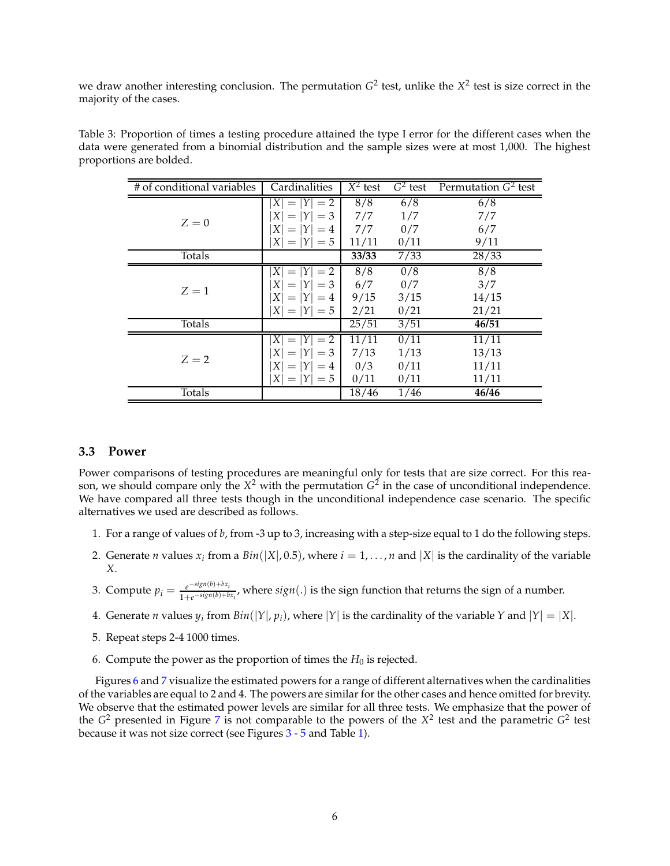we draw another interesting conclusion. The permutation  $G^2$  test, unlike the  $X^2$  test is size correct in the majority of the cases.

| # of conditional variables | Cardinalities                    | $\overline{X}^2$ test | $\overline{G^2}$ test | Permutation $G^2$ test |
|----------------------------|----------------------------------|-----------------------|-----------------------|------------------------|
|                            | $= 2$<br>Χ<br>$=$ $\overline{ }$ | 8/8                   | 6/8                   | 6/8                    |
| $Z=0$                      | Χ<br>$=$ 3<br>$= Y $             | 7/7                   | 1/7                   | 7/7                    |
|                            | Χ<br>$=4$                        | 7/7                   | 0/7                   | 6/7                    |
|                            | Χ<br>$=5$                        | 11/11                 | 0/11                  | 9/11                   |
| Totals                     |                                  | 33/33                 | 7/33                  | 28/33                  |
|                            | $= 2$<br>Χ                       | $\overline{8/8}$      | $\overline{0/8}$      | $\overline{8/8}$       |
| $Z=1$                      | Χ<br>$=$ 3                       | 6/7                   | 0/7                   | 3/7                    |
|                            | Χ<br>$=4$<br>$=$ $\overline{ }$  | 9/15                  | 3/15                  | 14/15                  |
|                            | Χ<br>$=5$<br>$=$ $\overline{ }$  | 2/21                  | 0/21                  | 21/21                  |
| Totals                     |                                  | 25/51                 | 3/51                  | 46/51                  |
|                            | $= 2$<br>Χ<br>$=$ $\overline{ }$ | 11/11                 | 0/11                  | 11/11                  |
| $Z = 2$                    | Χ<br>$=$ 3                       | 7/13                  | 1/13                  | 13/13                  |
|                            | Χ<br>$=4$                        | 0/3                   | 0/11                  | 11/11                  |
|                            | Χ<br>$= 5$                       | 0/11                  | 0/11                  | 11/11                  |
| Totals                     |                                  | 18/46                 | 1/46                  | 46/46                  |

<span id="page-5-0"></span>Table 3: Proportion of times a testing procedure attained the type I error for the different cases when the data were generated from a binomial distribution and the sample sizes were at most 1,000. The highest proportions are bolded.

#### **3.3 Power**

Power comparisons of testing procedures are meaningful only for tests that are size correct. For this reason, we should compare only the  $X^2$  with the permutation  $G^2$  in the case of unconditional independence. We have compared all three tests though in the unconditional independence case scenario. The specific alternatives we used are described as follows.

- 1. For a range of values of *b*, from -3 up to 3, increasing with a step-size equal to 1 do the following steps.
- 2. Generate *n* values  $x_i$  from a  $Bin(|X|, 0.5)$ , where  $i = 1, ..., n$  and  $|X|$  is the cardinality of the variable *X*.
- 3. Compute  $p_i = \frac{e^{-sign(b)+bx_i}}{1+e^{-sign(b)+b}}$  $\frac{e^{-\frac{\alpha}{2}S_n(\psi)+\beta x_i}}{1+e^{-sign(b)+bx_i}}$ , where  $sign(.)$  is the sign function that returns the sign of a number.
- 4. Generate *n* values  $y_i$  from  $Bin(|Y|, p_i)$ , where  $|Y|$  is the cardinality of the variable  $Y$  and  $|Y| = |X|$ .
- 5. Repeat steps 2-4 1000 times.
- 6. Compute the power as the proportion of times the  $H_0$  is rejected.

Figures [6](#page-12-0) and [7](#page-13-0) visualize the estimated powers for a range of different alternatives when the cardinalities of the variables are equal to 2 and 4. The powers are similar for the other cases and hence omitted for brevity. We observe that the estimated power levels are similar for all three tests. We emphasize that the power of the *G* <sup>2</sup> presented in Figure [7](#page-13-0) is not comparable to the powers of the *X* 2 test and the parametric *G* 2 test because it was not size correct (see Figures [3](#page-9-0) - [5](#page-11-0) and Table [1\)](#page-7-0).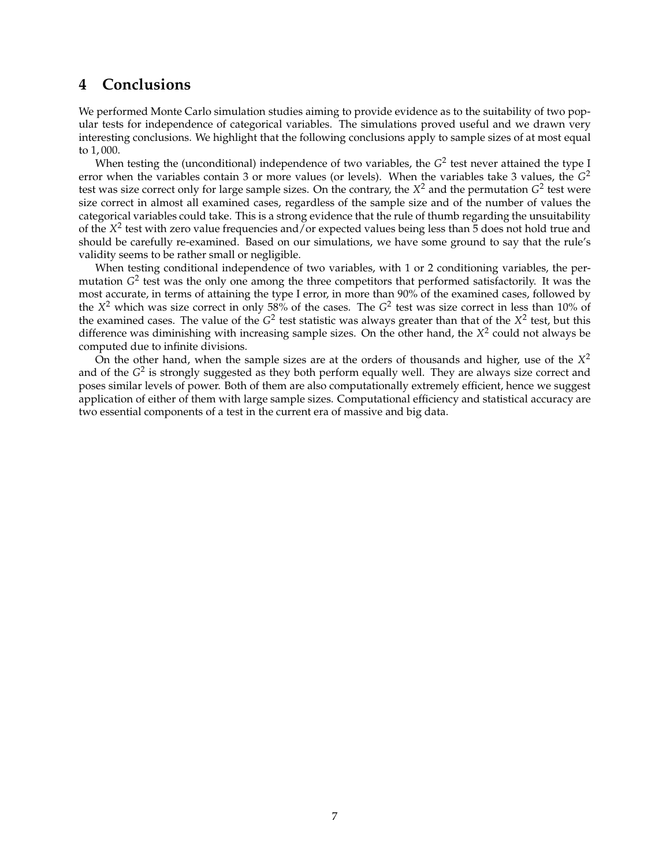#### **4 Conclusions**

We performed Monte Carlo simulation studies aiming to provide evidence as to the suitability of two popular tests for independence of categorical variables. The simulations proved useful and we drawn very interesting conclusions. We highlight that the following conclusions apply to sample sizes of at most equal to 1, 000.

When testing the (unconditional) independence of two variables, the G<sup>2</sup> test never attained the type I error when the variables contain 3 or more values (or levels). When the variables take 3 values, the *G* 2 test was size correct only for large sample sizes. On the contrary, the *X* <sup>2</sup> and the permutation *G* 2 test were size correct in almost all examined cases, regardless of the sample size and of the number of values the categorical variables could take. This is a strong evidence that the rule of thumb regarding the unsuitability of the *X* 2 test with zero value frequencies and/or expected values being less than 5 does not hold true and should be carefully re-examined. Based on our simulations, we have some ground to say that the rule's validity seems to be rather small or negligible.

When testing conditional independence of two variables, with 1 or 2 conditioning variables, the permutation *G*<sup>2</sup> test was the only one among the three competitors that performed satisfactorily. It was the most accurate, in terms of attaining the type I error, in more than 90% of the examined cases, followed by the X<sup>2</sup> which was size correct in only 58% of the cases. The G<sup>2</sup> test was size correct in less than 10% of the examined cases. The value of the  $G^2$  test statistic was always greater than that of the  $X^2$  test, but this difference was diminishing with increasing sample sizes. On the other hand, the *X* 2 could not always be computed due to infinite divisions.

On the other hand, when the sample sizes are at the orders of thousands and higher, use of the *X* 2 and of the  $G^2$  is strongly suggested as they both perform equally well. They are always size correct and poses similar levels of power. Both of them are also computationally extremely efficient, hence we suggest application of either of them with large sample sizes. Computational efficiency and statistical accuracy are two essential components of a test in the current era of massive and big data.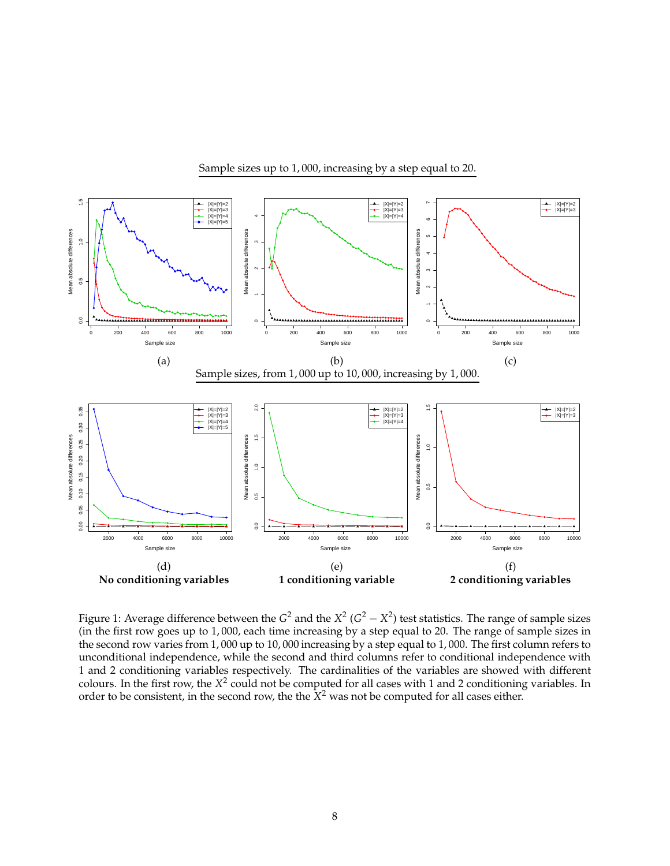

Sample sizes up to 1, 000, increasing by a step equal to 20.

<span id="page-7-0"></span>Figure 1: Average difference between the  $G^2$  and the  $X^2$  ( $G^2 - X^2$ ) test statistics. The range of sample sizes (in the first row goes up to 1, 000, each time increasing by a step equal to 20. The range of sample sizes in the second row varies from 1, 000 up to 10, 000 increasing by a step equal to 1, 000. The first column refers to unconditional independence, while the second and third columns refer to conditional independence with 1 and 2 conditioning variables respectively. The cardinalities of the variables are showed with different colours. In the first row, the  $X^2$  could not be computed for all cases with 1 and 2 conditioning variables. In order to be consistent, in the second row, the the  $\bar{X}^2$  was not be computed for all cases either.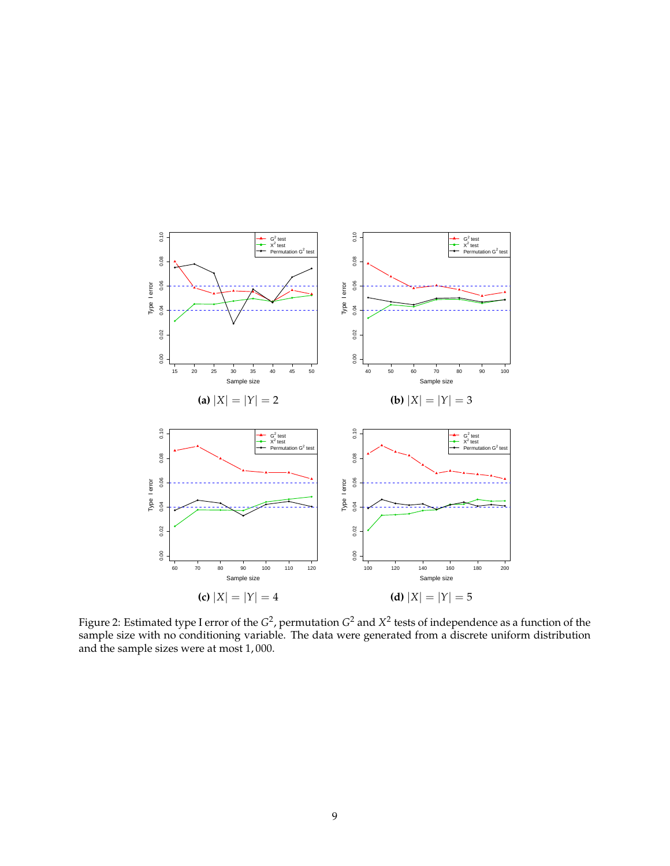

Figure 2: Estimated type I error of the  $G^2$ , permutation  $G^2$  and  $X^2$  tests of independence as a function of the sample size with no conditioning variable. The data were generated from a discrete uniform distribution and the sample sizes were at most 1, 000.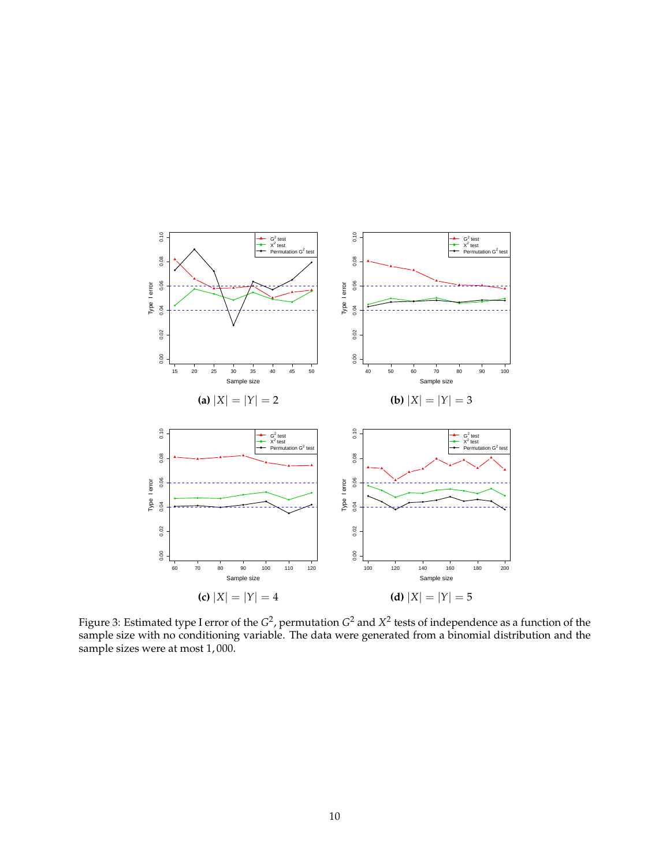

<span id="page-9-0"></span>Figure 3: Estimated type I error of the  $G^2$ , permutation  $G^2$  and  $X^2$  tests of independence as a function of the sample size with no conditioning variable. The data were generated from a binomial distribution and the sample sizes were at most 1, 000.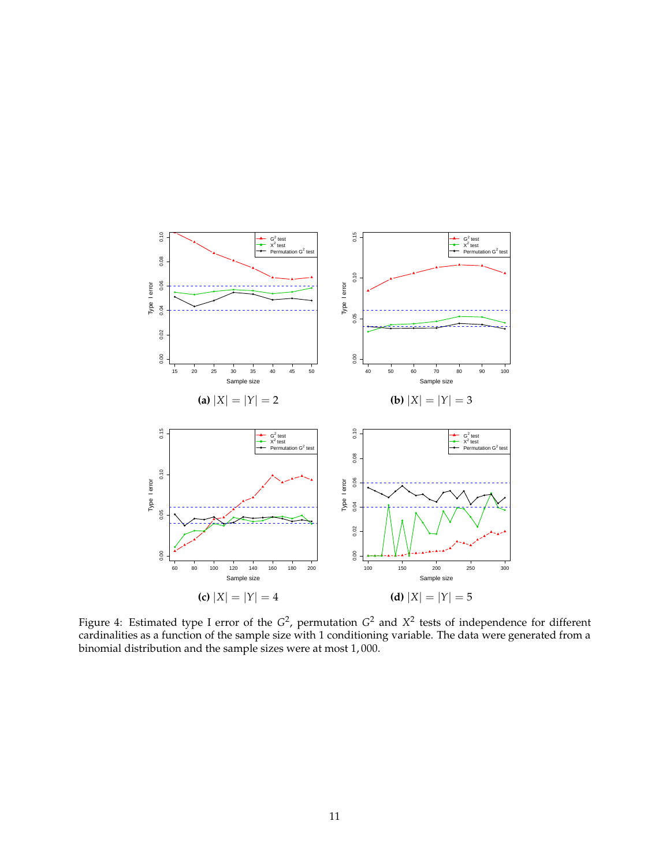

<span id="page-10-0"></span>Figure 4: Estimated type I error of the  $G^2$ , permutation  $G^2$  and  $X^2$  tests of independence for different cardinalities as a function of the sample size with 1 conditioning variable. The data were generated from a binomial distribution and the sample sizes were at most 1, 000.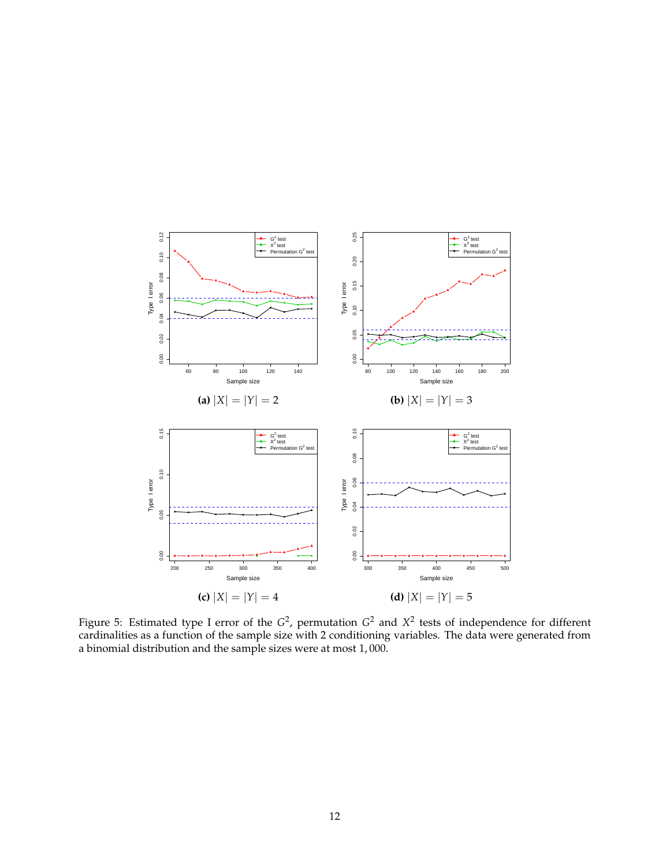

<span id="page-11-0"></span>Figure 5: Estimated type I error of the  $G^2$ , permutation  $G^2$  and  $X^2$  tests of independence for different cardinalities as a function of the sample size with 2 conditioning variables. The data were generated from a binomial distribution and the sample sizes were at most 1, 000.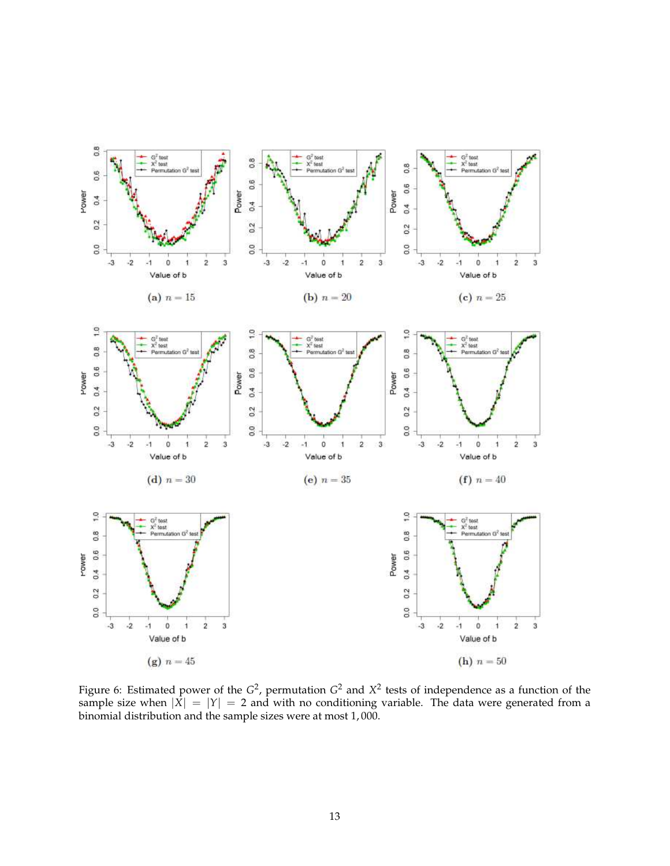

<span id="page-12-0"></span>Figure 6: Estimated power of the  $G^2$ , permutation  $G^2$  and  $X^2$  tests of independence as a function of the sample size when  $|X| = |Y| = 2$  and with no conditioning variable. The data were generated from a binomial distribution and the sample sizes were at most 1, 000.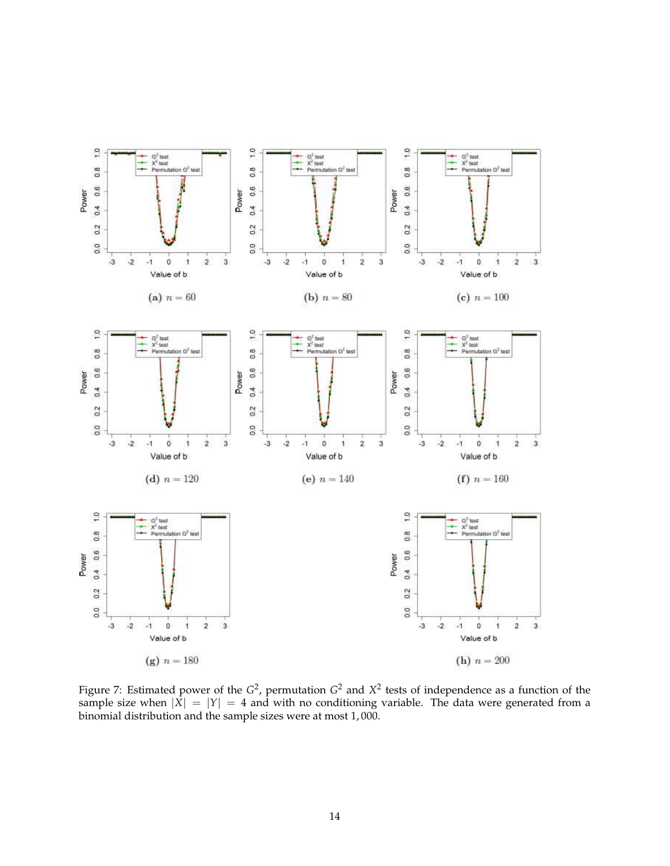

<span id="page-13-0"></span>Figure 7: Estimated power of the  $G^2$ , permutation  $G^2$  and  $X^2$  tests of independence as a function of the sample size when  $|X| = |Y| = 4$  and with no conditioning variable. The data were generated from a binomial distribution and the sample sizes were at most 1, 000.